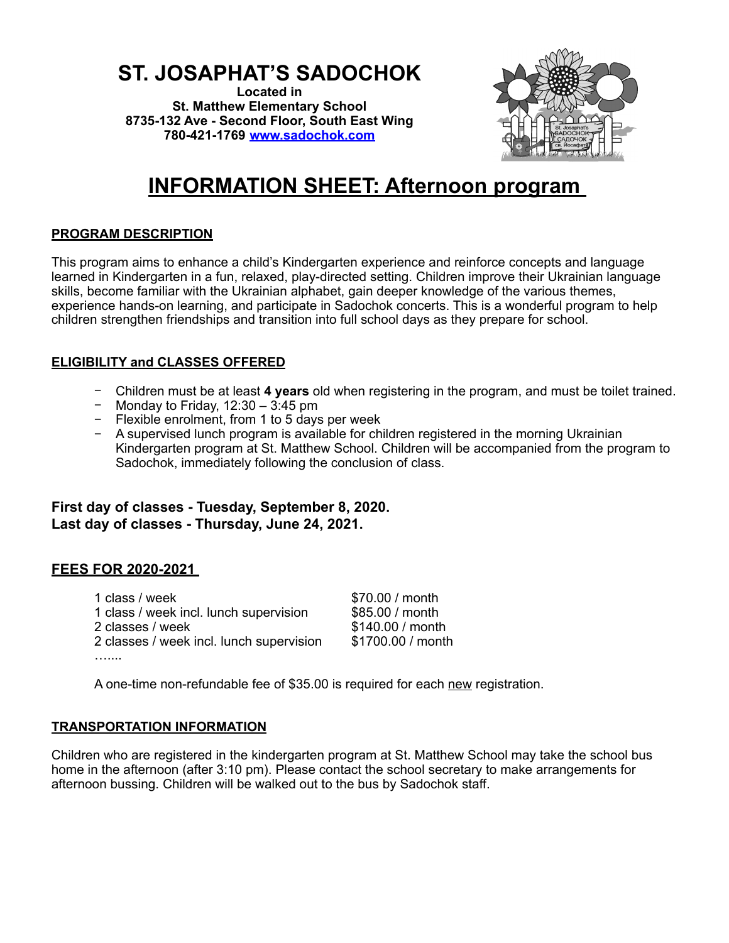## **ST. JOSAPHAT'S SADOCHOK**

**Located in St. Matthew Elementary School 8735-132 Ave - Second Floor, South East Wing 780-421-1769 [www.sadochok.com](http://www.sadochok.com/)**



# **INFORMATION SHEET: Afternoon program**

#### **PROGRAM DESCRIPTION**

This program aims to enhance a child's Kindergarten experience and reinforce concepts and language learned in Kindergarten in a fun, relaxed, play-directed setting. Children improve their Ukrainian language skills, become familiar with the Ukrainian alphabet, gain deeper knowledge of the various themes, experience hands-on learning, and participate in Sadochok concerts. This is a wonderful program to help children strengthen friendships and transition into full school days as they prepare for school.

#### **ELIGIBILITY and CLASSES OFFERED**

- − Children must be at least **4 years** old when registering in the program, and must be toilet trained.
- − Monday to Friday, 12:30 3:45 pm
- − Flexible enrolment, from 1 to 5 days per week
- − A supervised lunch program is available for children registered in the morning Ukrainian Kindergarten program at St. Matthew School. Children will be accompanied from the program to Sadochok, immediately following the conclusion of class.

**First day of classes - Tuesday, September 8, 2020. Last day of classes - Thursday, June 24, 2021.**

#### **FEES FOR 2020-2021**

1 class / week  $$70.00$  / month 1 class / week incl. lunch supervision  $$85.00$  / month 1 class / week incl. lunch supervision 2 classes / week  $$140.00$  / month 2 classes / week incl. lunch supervision \$1700.00 / month …....

A one-time non-refundable fee of \$35.00 is required for each new registration.

#### **TRANSPORTATION INFORMATION**

Children who are registered in the kindergarten program at St. Matthew School may take the school bus home in the afternoon (after 3:10 pm). Please contact the school secretary to make arrangements for afternoon bussing. Children will be walked out to the bus by Sadochok staff.